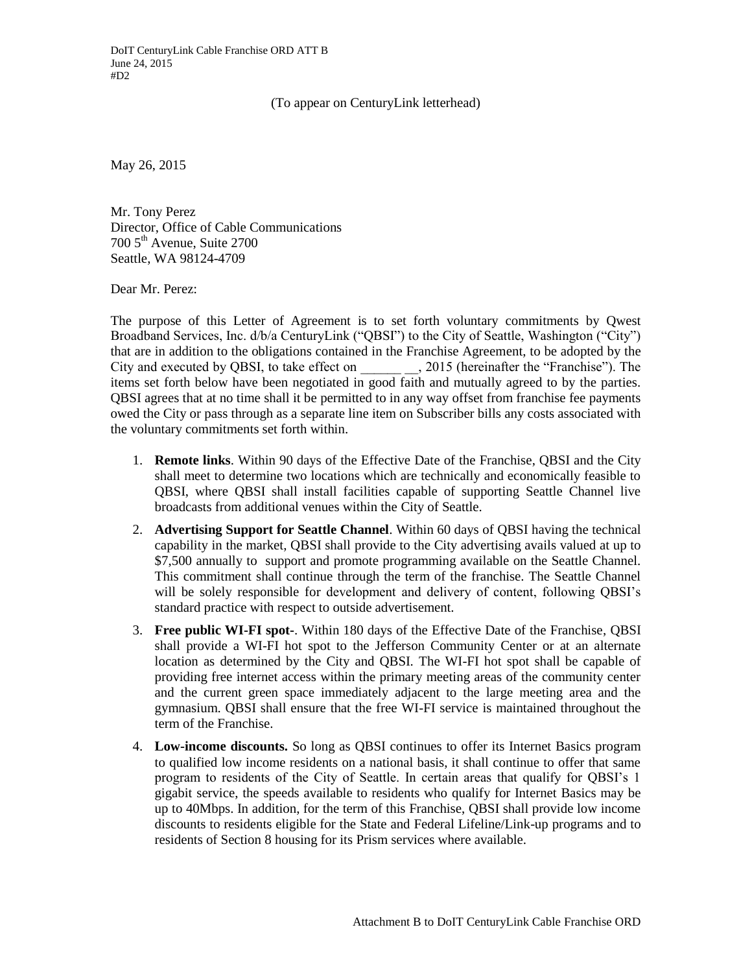## (To appear on CenturyLink letterhead)

May 26, 2015

Mr. Tony Perez Director, Office of Cable Communications  $700\,5^{\text{th}}$  Avenue, Suite 2700 Seattle, WA 98124-4709

Dear Mr. Perez:

The purpose of this Letter of Agreement is to set forth voluntary commitments by Qwest Broadband Services, Inc. d/b/a CenturyLink ("QBSI") to the City of Seattle, Washington ("City") that are in addition to the obligations contained in the Franchise Agreement, to be adopted by the City and executed by QBSI, to take effect on \_\_\_\_\_\_ \_\_, 2015 (hereinafter the "Franchise"). The items set forth below have been negotiated in good faith and mutually agreed to by the parties. QBSI agrees that at no time shall it be permitted to in any way offset from franchise fee payments owed the City or pass through as a separate line item on Subscriber bills any costs associated with the voluntary commitments set forth within.

- 1. **Remote links**. Within 90 days of the Effective Date of the Franchise, QBSI and the City shall meet to determine two locations which are technically and economically feasible to QBSI, where QBSI shall install facilities capable of supporting Seattle Channel live broadcasts from additional venues within the City of Seattle.
- 2. **Advertising Support for Seattle Channel**. Within 60 days of QBSI having the technical capability in the market, QBSI shall provide to the City advertising avails valued at up to \$7,500 annually to support and promote programming available on the Seattle Channel. This commitment shall continue through the term of the franchise. The Seattle Channel will be solely responsible for development and delivery of content, following QBSI's standard practice with respect to outside advertisement.
- 3. **Free public WI-FI spot-**. Within 180 days of the Effective Date of the Franchise, QBSI shall provide a WI-FI hot spot to the Jefferson Community Center or at an alternate location as determined by the City and QBSI. The WI-FI hot spot shall be capable of providing free internet access within the primary meeting areas of the community center and the current green space immediately adjacent to the large meeting area and the gymnasium. QBSI shall ensure that the free WI-FI service is maintained throughout the term of the Franchise.
- 4. **Low-income discounts.** So long as QBSI continues to offer its Internet Basics program to qualified low income residents on a national basis, it shall continue to offer that same program to residents of the City of Seattle. In certain areas that qualify for QBSI's 1 gigabit service, the speeds available to residents who qualify for Internet Basics may be up to 40Mbps. In addition, for the term of this Franchise, QBSI shall provide low income discounts to residents eligible for the State and Federal Lifeline/Link-up programs and to residents of Section 8 housing for its Prism services where available.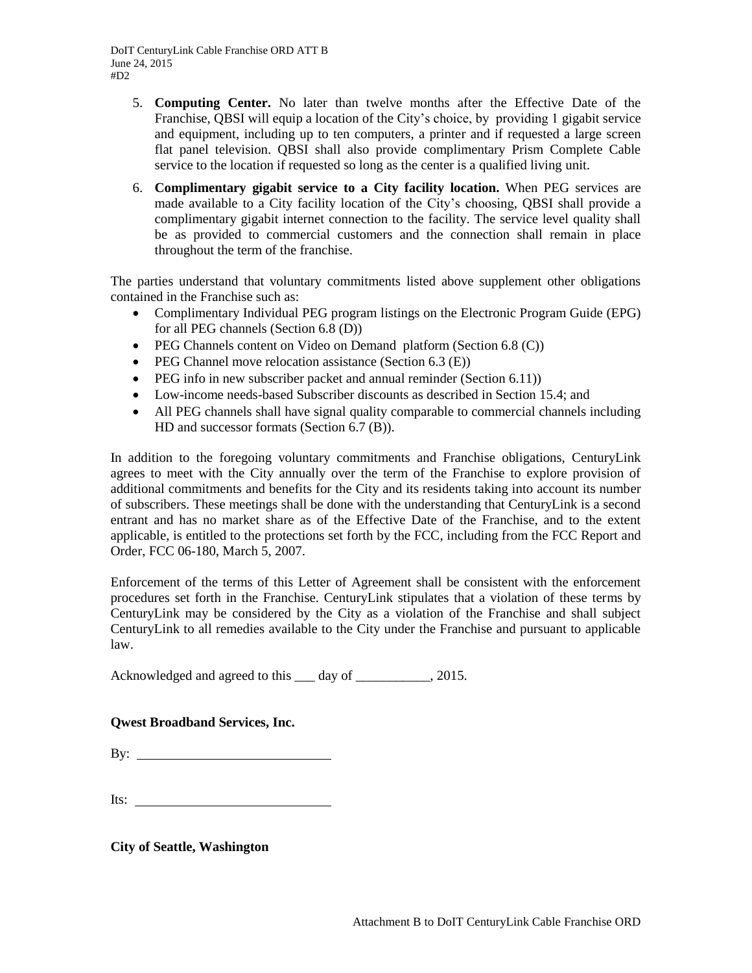- 5. **Computing Center.** No later than twelve months after the Effective Date of the Franchise, QBSI will equip a location of the City's choice, by providing 1 gigabit service and equipment, including up to ten computers, a printer and if requested a large screen flat panel television. QBSI shall also provide complimentary Prism Complete Cable service to the location if requested so long as the center is a qualified living unit.
- 6. **Complimentary gigabit service to a City facility location.** When PEG services are made available to a City facility location of the City's choosing, QBSI shall provide a complimentary gigabit internet connection to the facility. The service level quality shall be as provided to commercial customers and the connection shall remain in place throughout the term of the franchise.

The parties understand that voluntary commitments listed above supplement other obligations contained in the Franchise such as:

- Complimentary Individual PEG program listings on the Electronic Program Guide (EPG) for all PEG channels (Section 6.8 (D))
- PEG Channels content on Video on Demand platform (Section 6.8 (C))
- PEG Channel move relocation assistance (Section  $6.3$  (E))
- $\bullet$  PEG info in new subscriber packet and annual reminder (Section 6.11))
- Low-income needs-based Subscriber discounts as described in Section 15.4; and
- All PEG channels shall have signal quality comparable to commercial channels including HD and successor formats (Section 6.7 (B)).

In addition to the foregoing voluntary commitments and Franchise obligations, CenturyLink agrees to meet with the City annually over the term of the Franchise to explore provision of additional commitments and benefits for the City and its residents taking into account its number of subscribers. These meetings shall be done with the understanding that CenturyLink is a second entrant and has no market share as of the Effective Date of the Franchise, and to the extent applicable, is entitled to the protections set forth by the FCC, including from the FCC Report and Order, FCC 06-180, March 5, 2007.

Enforcement of the terms of this Letter of Agreement shall be consistent with the enforcement procedures set forth in the Franchise. CenturyLink stipulates that a violation of these terms by CenturyLink may be considered by the City as a violation of the Franchise and shall subject CenturyLink to all remedies available to the City under the Franchise and pursuant to applicable law.

Acknowledged and agreed to this  $\_\_\_$  day of  $\_\_\_\_\_\_\_$ , 2015.

## **Qwest Broadband Services, Inc.**

By:  $\qquad \qquad$ 

Its:  $\frac{1}{2}$ 

**City of Seattle, Washington**